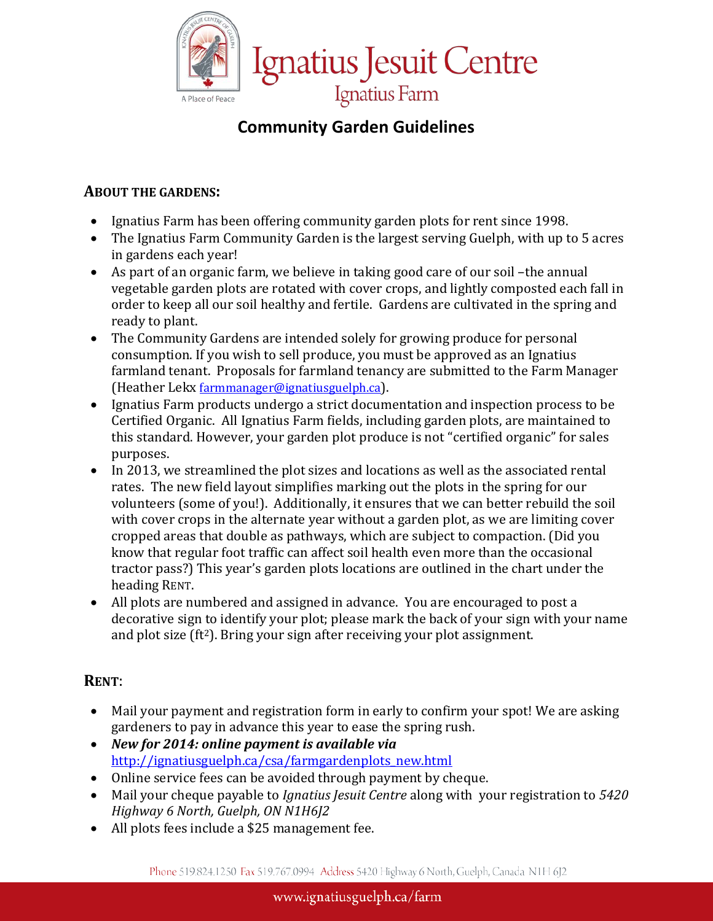

# **Community Garden Guidelines**

# **ABOUT THE GARDENS:**

- Ignatius Farm has been offering community garden plots for rent since 1998.
- The Ignatius Farm Community Garden is the largest serving Guelph, with up to 5 acres in gardens each year!
- As part of an organic farm, we believe in taking good care of our soil –the annual vegetable garden plots are rotated with cover crops, and lightly composted each fall in order to keep all our soil healthy and fertile. Gardens are cultivated in the spring and ready to plant.
- The Community Gardens are intended solely for growing produce for personal consumption. If you wish to sell produce, you must be approved as an Ignatius farmland tenant. Proposals for farmland tenancy are submitted to the Farm Manager (Heather Lekx [farmmanager@ignatiusguelph.ca\)](mailto:farmmanager@ignatiusguelph.ca).
- Ignatius Farm products undergo a strict documentation and inspection process to be Certified Organic. All Ignatius Farm fields, including garden plots, are maintained to this standard. However, your garden plot produce is not "certified organic" for sales purposes.
- In 2013, we streamlined the plot sizes and locations as well as the associated rental rates. The new field layout simplifies marking out the plots in the spring for our volunteers (some of you!). Additionally, it ensures that we can better rebuild the soil with cover crops in the alternate year without a garden plot, as we are limiting cover cropped areas that double as pathways, which are subject to compaction. (Did you know that regular foot traffic can affect soil health even more than the occasional tractor pass?) This year's garden plots locations are outlined in the chart under the heading RENT.
- All plots are numbered and assigned in advance. You are encouraged to post a decorative sign to identify your plot; please mark the back of your sign with your name and plot size  $(ft^2)$ . Bring your sign after receiving your plot assignment.

# **RENT**:

- Mail your payment and registration form in early to confirm your spot! We are asking gardeners to pay in advance this year to ease the spring rush.
- *New for 2014: online payment is available via*  [http://ignatiusguelph.ca/csa/farmgardenplots\\_new.html](http://ignatiusguelph.ca/csa/farmgardenplots_new.html)
- Online service fees can be avoided through payment by cheque.
- Mail your cheque payable to *Ignatius Jesuit Centre* along with your registration to *5420 Highway 6 North, Guelph, ON N1H6J2*
- All plots fees include a \$25 management fee.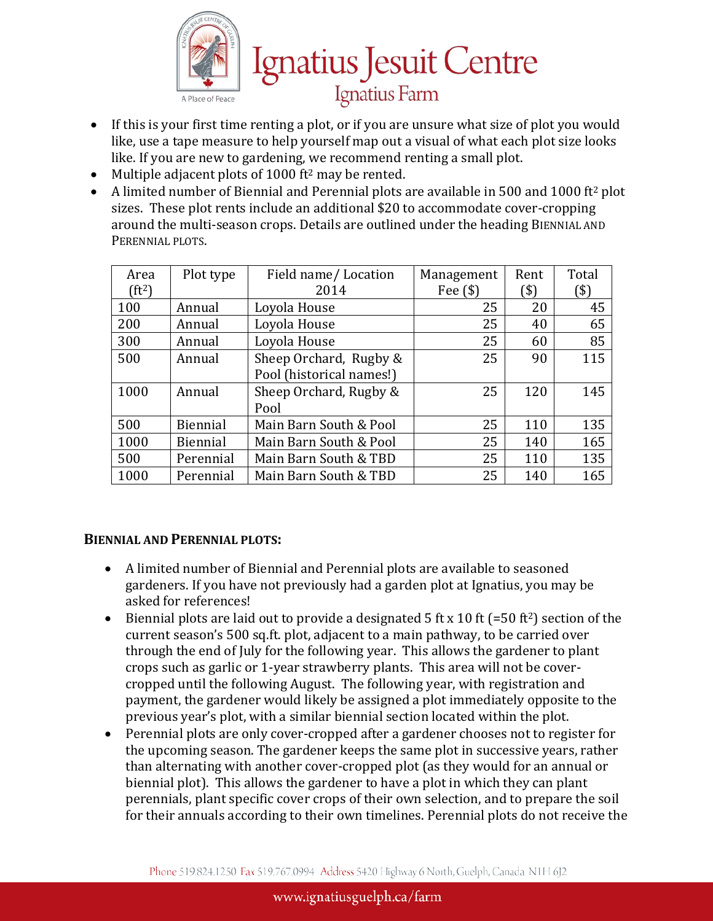

- If this is your first time renting a plot, or if you are unsure what size of plot you would like, use a tape measure to help yourself map out a visual of what each plot size looks like. If you are new to gardening, we recommend renting a small plot.
- Multiple adjacent plots of  $1000$  ft<sup>2</sup> may be rented.<br>• A limited number of Biennial and Perennial plots a
- A limited number of Biennial and Perennial plots are available in 500 and 1000 ft2 plot sizes. These plot rents include an additional \$20 to accommodate cover-cropping around the multi-season crops. Details are outlined under the heading BIENNIAL AND PERENNIAL PLOTS.

| Area     | Plot type       | Field name/Location      | Management | Rent | Total |
|----------|-----------------|--------------------------|------------|------|-------|
| $(ft^2)$ |                 | 2014                     | Fee $(\$)$ | ิ\$) | (\$)  |
| 100      | Annual          | Loyola House             | 25         | 20   | 45    |
| 200      | Annual          | Loyola House             | 25         | 40   | 65    |
| 300      | Annual          | Loyola House             | 25         | 60   | 85    |
| 500      | Annual          | Sheep Orchard, Rugby &   | 25         | 90   | 115   |
|          |                 | Pool (historical names!) |            |      |       |
| 1000     | Annual          | Sheep Orchard, Rugby &   | 25         | 120  | 145   |
|          |                 | Pool                     |            |      |       |
| 500      | <b>Biennial</b> | Main Barn South & Pool   | 25         | 110  | 135   |
| 1000     | Biennial        | Main Barn South & Pool   | 25         | 140  | 165   |
| 500      | Perennial       | Main Barn South & TBD    | 25         | 110  | 135   |
| 1000     | Perennial       | Main Barn South & TBD    | 25         | 140  | 165   |

#### **BIENNIAL AND PERENNIAL PLOTS:**

- A limited number of Biennial and Perennial plots are available to seasoned gardeners. If you have not previously had a garden plot at Ignatius, you may be asked for references!
- Biennial plots are laid out to provide a designated 5 ft x 10 ft  $(=50 \text{ ft}^2)$  section of the current season's 500 sq.ft. plot, adjacent to a main pathway, to be carried over through the end of July for the following year. This allows the gardener to plant crops such as garlic or 1-year strawberry plants. This area will not be covercropped until the following August. The following year, with registration and payment, the gardener would likely be assigned a plot immediately opposite to the previous year's plot, with a similar biennial section located within the plot.
- Perennial plots are only cover-cropped after a gardener chooses not to register for the upcoming season. The gardener keeps the same plot in successive years, rather than alternating with another cover-cropped plot (as they would for an annual or biennial plot). This allows the gardener to have a plot in which they can plant perennials, plant specific cover crops of their own selection, and to prepare the soil for their annuals according to their own timelines. Perennial plots do not receive the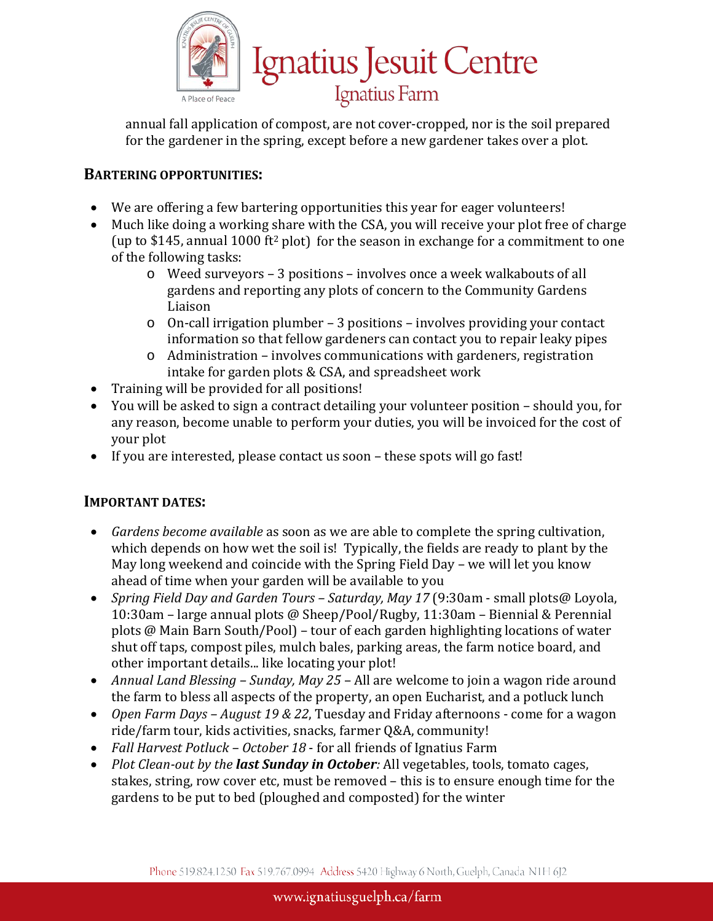

annual fall application of compost, are not cover-cropped, nor is the soil prepared for the gardener in the spring, except before a new gardener takes over a plot.

# **BARTERING OPPORTUNITIES:**

- We are offering a few bartering opportunities this year for eager volunteers!
- Much like doing a working share with the CSA, you will receive your plot free of charge (up to \$145, annual 1000 ft<sup>2</sup> plot) for the season in exchange for a commitment to one of the following tasks:
	- o Weed surveyors 3 positions involves once a week walkabouts of all gardens and reporting any plots of concern to the Community Gardens Liaison
	- $\circ$  On-call irrigation plumber 3 positions involves providing your contact information so that fellow gardeners can contact you to repair leaky pipes
	- o Administration involves communications with gardeners, registration intake for garden plots & CSA, and spreadsheet work
- Training will be provided for all positions!
- You will be asked to sign a contract detailing your volunteer position should you, for any reason, become unable to perform your duties, you will be invoiced for the cost of your plot
- If you are interested, please contact us soon these spots will go fast!

# **IMPORTANT DATES:**

- *Gardens become available* as soon as we are able to complete the spring cultivation, which depends on how wet the soil is! Typically, the fields are ready to plant by the May long weekend and coincide with the Spring Field Day – we will let you know ahead of time when your garden will be available to you
- *Spring Field Day and Garden Tours – Saturday, May 17* (9:30am small plots@ Loyola, 10:30am – large annual plots @ Sheep/Pool/Rugby, 11:30am – Biennial & Perennial plots @ Main Barn South/Pool) – tour of each garden highlighting locations of water shut off taps, compost piles, mulch bales, parking areas, the farm notice board, and other important details... like locating your plot!
- *Annual Land Blessing – Sunday, May 25* All are welcome to join a wagon ride around the farm to bless all aspects of the property, an open Eucharist, and a potluck lunch
- *Open Farm Days – August 19 & 22*, Tuesday and Friday afternoons come for a wagon ride/farm tour, kids activities, snacks, farmer Q&A, community!
- *Fall Harvest Potluck – October 18* for all friends of Ignatius Farm
- *Plot Clean-out by the last Sunday in October:* All vegetables, tools, tomato cages, stakes, string, row cover etc, must be removed – this is to ensure enough time for the gardens to be put to bed (ploughed and composted) for the winter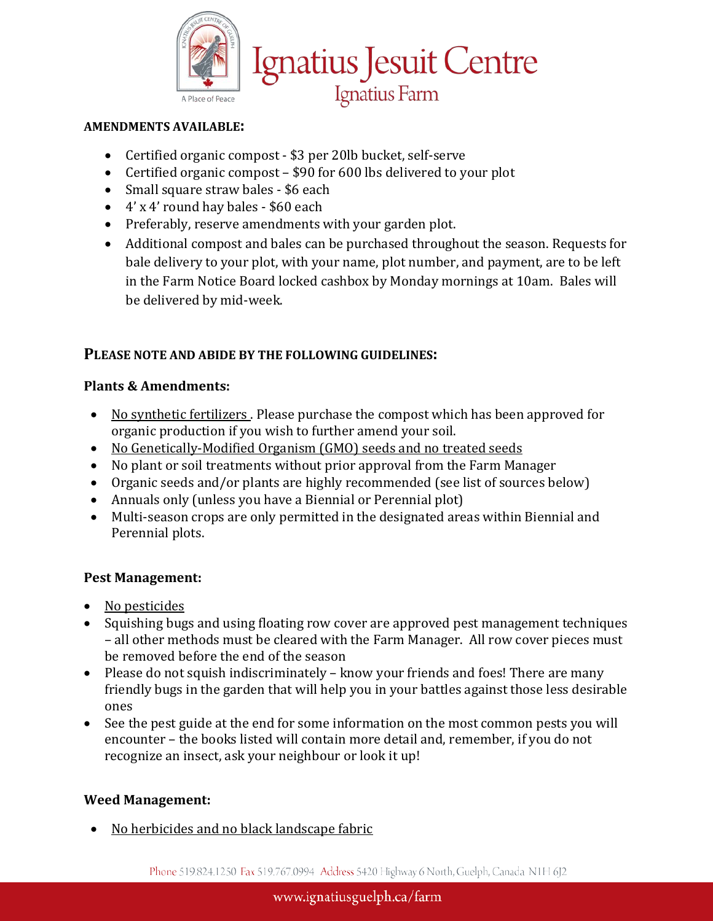

#### **AMENDMENTS AVAILABLE:**

- Certified organic compost \$3 per 20lb bucket, self-serve
- Certified organic compost \$90 for 600 lbs delivered to your plot
- Small square straw bales \$6 each
- 4' x 4' round hay bales \$60 each
- Preferably, reserve amendments with your garden plot.
- Additional compost and bales can be purchased throughout the season. Requests for bale delivery to your plot, with your name, plot number, and payment, are to be left in the Farm Notice Board locked cashbox by Monday mornings at 10am. Bales will be delivered by mid-week.

# **PLEASE NOTE AND ABIDE BY THE FOLLOWING GUIDELINES:**

## **Plants & Amendments:**

- No synthetic fertilizers. Please purchase the compost which has been approved for organic production if you wish to further amend your soil.
- No Genetically-Modified Organism (GMO) seeds and no treated seeds
- No plant or soil treatments without prior approval from the Farm Manager
- Organic seeds and/or plants are highly recommended (see list of sources below)
- Annuals only (unless you have a Biennial or Perennial plot)
- Multi-season crops are only permitted in the designated areas within Biennial and Perennial plots.

# **Pest Management:**

- No pesticides
- Squishing bugs and using floating row cover are approved pest management techniques – all other methods must be cleared with the Farm Manager. All row cover pieces must be removed before the end of the season
- Please do not squish indiscriminately know your friends and foes! There are many friendly bugs in the garden that will help you in your battles against those less desirable ones
- See the pest guide at the end for some information on the most common pests you will encounter – the books listed will contain more detail and, remember, if you do not recognize an insect, ask your neighbour or look it up!

# **Weed Management:**

• No herbicides and no black landscape fabric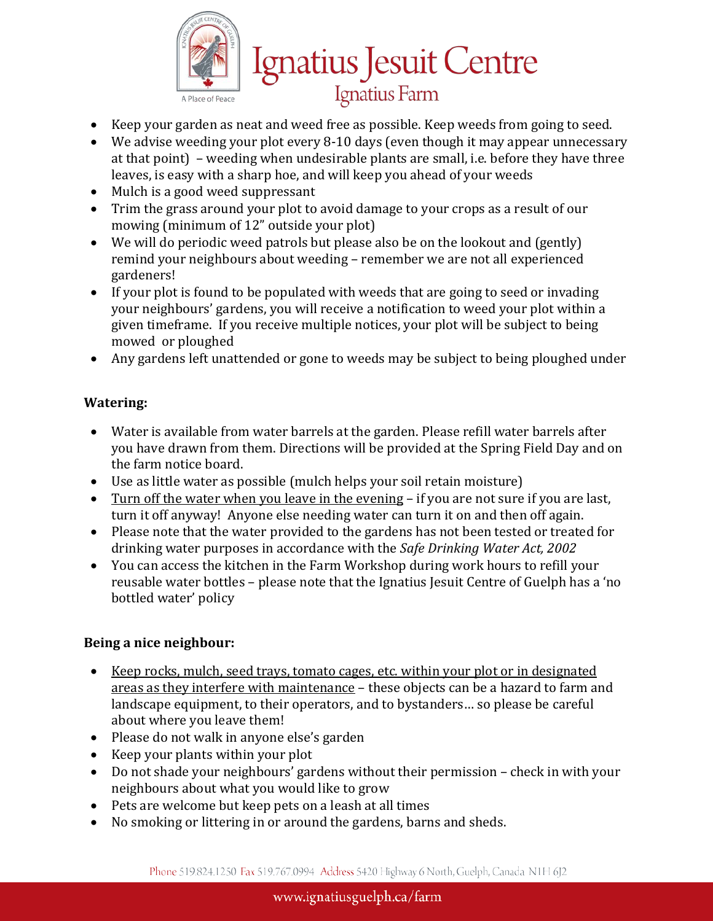

- Keep your garden as neat and weed free as possible. Keep weeds from going to seed.
- We advise weeding your plot every 8-10 days (even though it may appear unnecessary at that point) – weeding when undesirable plants are small, i.e. before they have three leaves, is easy with a sharp hoe, and will keep you ahead of your weeds

Ignatius Jesuit Centre

Ignatius Farm

- Mulch is a good weed suppressant
- Trim the grass around your plot to avoid damage to your crops as a result of our mowing (minimum of 12" outside your plot)
- We will do periodic weed patrols but please also be on the lookout and (gently) remind your neighbours about weeding – remember we are not all experienced gardeners!
- If your plot is found to be populated with weeds that are going to seed or invading your neighbours' gardens, you will receive a notification to weed your plot within a given timeframe. If you receive multiple notices, your plot will be subject to being mowed or ploughed
- Any gardens left unattended or gone to weeds may be subject to being ploughed under

#### **Watering:**

- Water is available from water barrels at the garden. Please refill water barrels after you have drawn from them. Directions will be provided at the Spring Field Day and on the farm notice board.
- Use as little water as possible (mulch helps your soil retain moisture)
- Turn off the water when you leave in the evening if you are not sure if you are last, turn it off anyway! Anyone else needing water can turn it on and then off again.
- Please note that the water provided to the gardens has not been tested or treated for drinking water purposes in accordance with the *Safe Drinking Water Act, 2002*
- You can access the kitchen in the Farm Workshop during work hours to refill your reusable water bottles – please note that the Ignatius Jesuit Centre of Guelph has a 'no bottled water' policy

#### **Being a nice neighbour:**

- Keep rocks, mulch, seed trays, tomato cages, etc. within your plot or in designated areas as they interfere with maintenance – these objects can be a hazard to farm and landscape equipment, to their operators, and to bystanders… so please be careful about where you leave them!
- Please do not walk in anyone else's garden
- Keep your plants within your plot
- Do not shade your neighbours' gardens without their permission check in with your neighbours about what you would like to grow
- Pets are welcome but keep pets on a leash at all times
- No smoking or littering in or around the gardens, barns and sheds.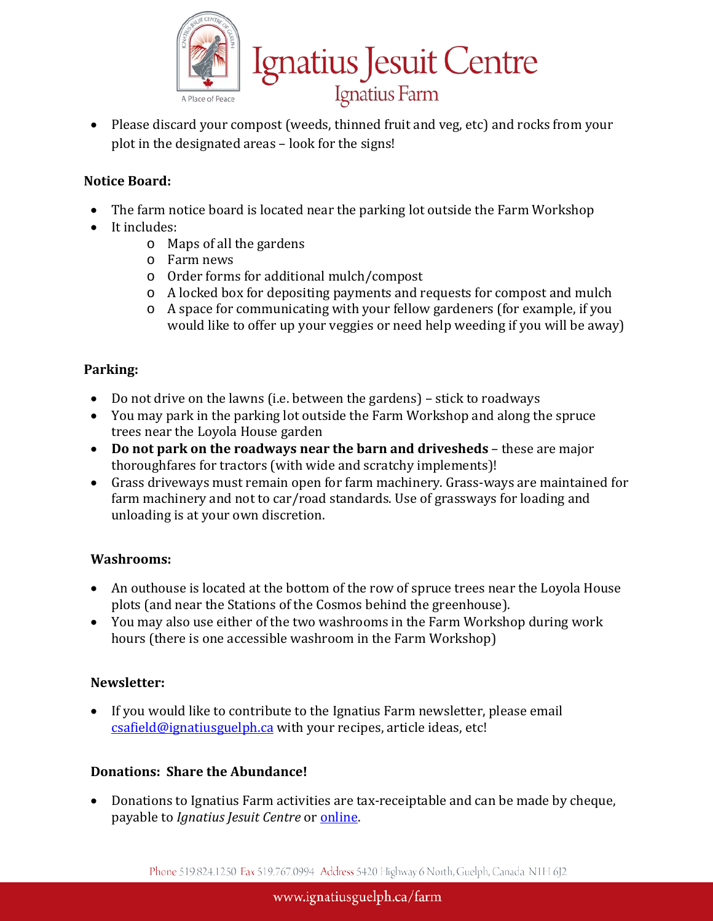

• Please discard your compost (weeds, thinned fruit and veg, etc) and rocks from your plot in the designated areas – look for the signs!

# **Notice Board:**

- The farm notice board is located near the parking lot outside the Farm Workshop
- It includes:
	- o Maps of all the gardens
	- o Farm news
	- o Order forms for additional mulch/compost
	- o A locked box for depositing payments and requests for compost and mulch
	- o A space for communicating with your fellow gardeners (for example, if you would like to offer up your veggies or need help weeding if you will be away)

## **Parking:**

- Do not drive on the lawns (i.e. between the gardens) stick to roadways
- You may park in the parking lot outside the Farm Workshop and along the spruce trees near the Loyola House garden
- **Do not park on the roadways near the barn and drivesheds** these are major thoroughfares for tractors (with wide and scratchy implements)!
- Grass driveways must remain open for farm machinery. Grass-ways are maintained for farm machinery and not to car/road standards. Use of grassways for loading and unloading is at your own discretion.

#### **Washrooms:**

- An outhouse is located at the bottom of the row of spruce trees near the Loyola House plots (and near the Stations of the Cosmos behind the greenhouse).
- You may also use either of the two washrooms in the Farm Workshop during work hours (there is one accessible washroom in the Farm Workshop)

#### **Newsletter:**

• If you would like to contribute to the Ignatius Farm newsletter, please email [csafield@ignatiusguelph.ca](mailto:csafield@ignatiusguelph.ca) with your recipes, article ideas, etc!

#### **Donations: Share the Abundance!**

• Donations to Ignatius Farm activities are tax-receiptable and can be made by cheque, payable to *Ignatius Jesuit Centre* or [online.](https://www.gifttool.com/donations/Donate?ID=1509&AID=246)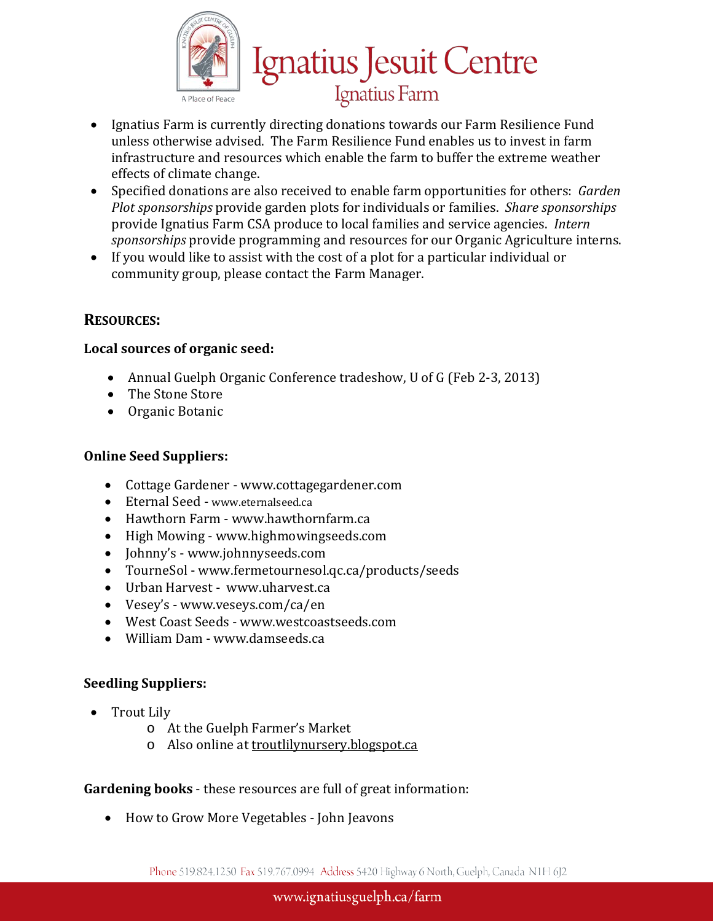

- Ignatius Farm is currently directing donations towards our Farm Resilience Fund unless otherwise advised. The Farm Resilience Fund enables us to invest in farm infrastructure and resources which enable the farm to buffer the extreme weather effects of climate change.
- Specified donations are also received to enable farm opportunities for others: *Garden Plot sponsorships* provide garden plots for individuals or families. *Share sponsorships* provide Ignatius Farm CSA produce to local families and service agencies. *Intern sponsorships* provide programming and resources for our Organic Agriculture interns.
- If you would like to assist with the cost of a plot for a particular individual or community group, please contact the Farm Manager.

# **RESOURCES:**

## **Local sources of organic seed:**

- Annual Guelph Organic Conference tradeshow, U of G (Feb 2-3, 2013)
- The Stone Store
- Organic Botanic

# **Online Seed Suppliers:**

- Cottage Gardener www.cottagegardener.com
- Eternal Seed www.eternalseed.ca
- Hawthorn Farm www.hawthornfarm.ca
- High Mowing www.highmowingseeds.com
- Johnny's www.johnnyseeds.com
- TourneSol www.fermetournesol.qc.ca/products/seeds
- Urban Harvest www.uharvest.ca
- Vesey's www.veseys.com/ca/en
- West Coast Seeds www.westcoastseeds.com
- William Dam www.damseeds.ca

# **Seedling Suppliers:**

- Trout Lily
	- o At the Guelph Farmer's Market
	- o Also online at troutlilynursery.blogspot.ca

# **Gardening books** - these resources are full of great information:

• How to Grow More Vegetables - John Jeavons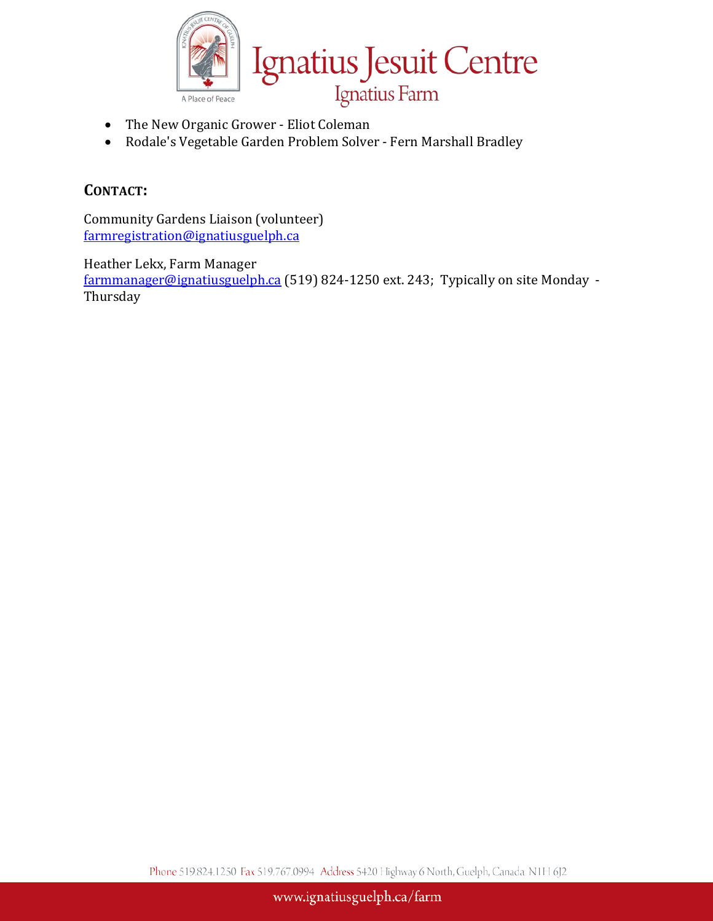

- The New Organic Grower Eliot Coleman
- Rodale's Vegetable Garden Problem Solver Fern Marshall Bradley

# **CONTACT:**

Community Gardens Liaison (volunteer) [farmregistration@ignatiusguelph.ca](mailto:communitygardens@ignatiusguelph.ca)

Heather Lekx, Farm Manager

[farmmanager@ignatiusguelph.ca](mailto:farmmanager@ignatiusguelph.ca) (519) 824-1250 ext. 243; Typically on site Monday - Thursday